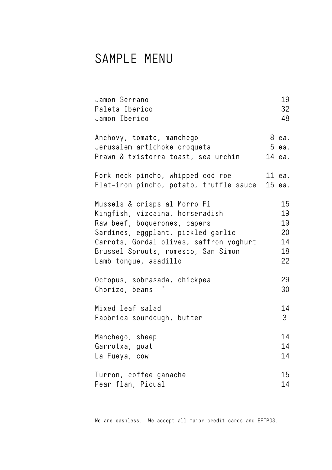## SAMPLE MENU

| Jamon Serrano<br>Paleta Iberico<br>Jamon Iberico                                                                                                                                                                                                 | 19<br>32<br>48                         |
|--------------------------------------------------------------------------------------------------------------------------------------------------------------------------------------------------------------------------------------------------|----------------------------------------|
| Anchovy, tomato, manchego<br>Jerusalem artichoke croqueta<br>Prawn & txistorra toast, sea urchin                                                                                                                                                 | 8 ea.<br>5 ea.<br>14 ea.               |
| Pork neck pincho, whipped cod roe<br>Flat-iron pincho, potato, truffle sauce                                                                                                                                                                     | 11 ea.<br>15 ea.                       |
| Mussels & crisps al Morro Fi<br>Kingfish, vizcaina, horseradish<br>Raw beef, boquerones, capers<br>Sardines, eggplant, pickled garlic<br>Carrots, Gordal olives, saffron yoghurt<br>Brussel Sprouts, romesco, San Simon<br>Lamb tongue, asadillo | 15<br>19<br>19<br>20<br>14<br>18<br>22 |
| Octopus, sobrasada, chickpea<br>Chorizo, beans                                                                                                                                                                                                   | 29<br>30                               |
| Mixed leaf salad<br>Fabbrica sourdough, butter                                                                                                                                                                                                   | 14<br>3                                |
| Manchego, sheep<br>Garrotxa, goat<br>La Fueya, cow                                                                                                                                                                                               | 14<br>14<br>14                         |
| Turron, coffee ganache<br>Pear flan, Picual                                                                                                                                                                                                      | 15<br>14                               |

We are cashless. We accept all major credit cards and EFTPOS.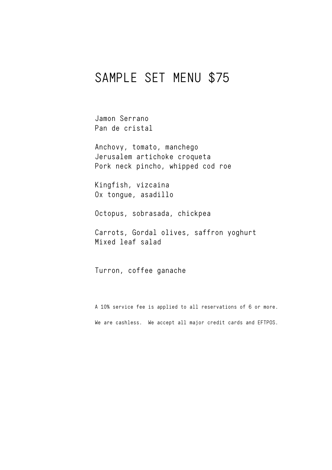## SAMPLE SET MENU \$75

Jamon Serrano Pan de cristal

Anchovy, tomato, manchego Jerusalem artichoke croqueta Pork neck pincho, whipped cod roe

Kingfish, vizcaina Ox tongue, asadillo

Octopus, sobrasada, chickpea

Carrots, Gordal olives, saffron yoghurt Mixed leaf salad

Turron, coffee ganache

A 10% service fee is applied to all reservations of 6 or more. We are cashless. We accept all major credit cards and EFTPOS.